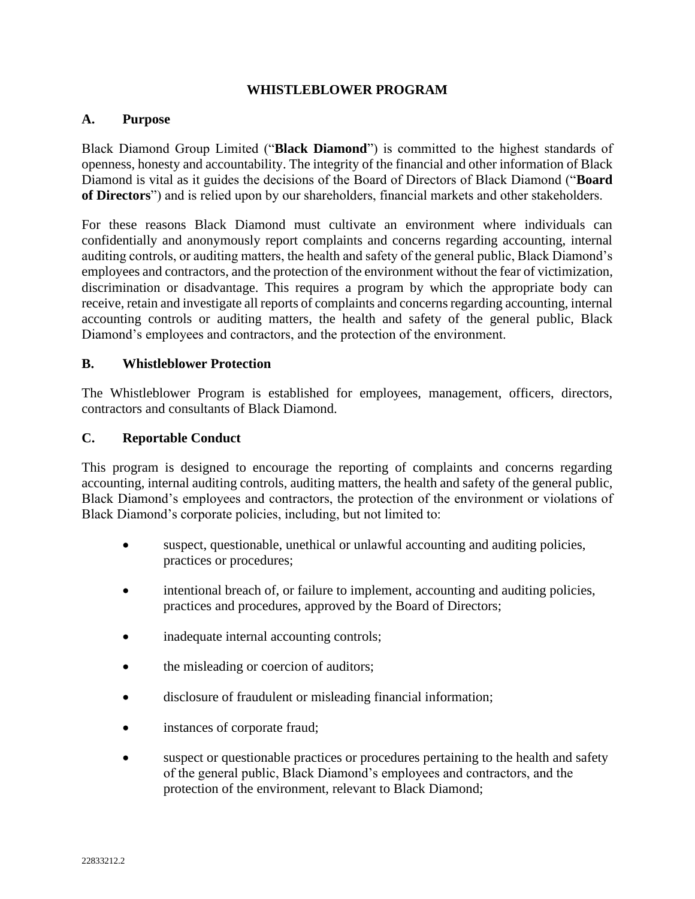### **WHISTLEBLOWER PROGRAM**

#### **A. Purpose**

Black Diamond Group Limited ("**Black Diamond**") is committed to the highest standards of openness, honesty and accountability. The integrity of the financial and other information of Black Diamond is vital as it guides the decisions of the Board of Directors of Black Diamond ("**Board of Directors**") and is relied upon by our shareholders, financial markets and other stakeholders.

For these reasons Black Diamond must cultivate an environment where individuals can confidentially and anonymously report complaints and concerns regarding accounting, internal auditing controls, or auditing matters, the health and safety of the general public, Black Diamond's employees and contractors, and the protection of the environment without the fear of victimization, discrimination or disadvantage. This requires a program by which the appropriate body can receive, retain and investigate all reports of complaints and concerns regarding accounting, internal accounting controls or auditing matters, the health and safety of the general public, Black Diamond's employees and contractors, and the protection of the environment.

#### **B. Whistleblower Protection**

The Whistleblower Program is established for employees, management, officers, directors, contractors and consultants of Black Diamond.

### **C. Reportable Conduct**

This program is designed to encourage the reporting of complaints and concerns regarding accounting, internal auditing controls, auditing matters, the health and safety of the general public, Black Diamond's employees and contractors, the protection of the environment or violations of Black Diamond's corporate policies, including, but not limited to:

- suspect, questionable, unethical or unlawful accounting and auditing policies, practices or procedures;
- intentional breach of, or failure to implement, accounting and auditing policies, practices and procedures, approved by the Board of Directors;
- inadequate internal accounting controls;
- the misleading or coercion of auditors;
- disclosure of fraudulent or misleading financial information;
- instances of corporate fraud;
- suspect or questionable practices or procedures pertaining to the health and safety of the general public, Black Diamond's employees and contractors, and the protection of the environment, relevant to Black Diamond;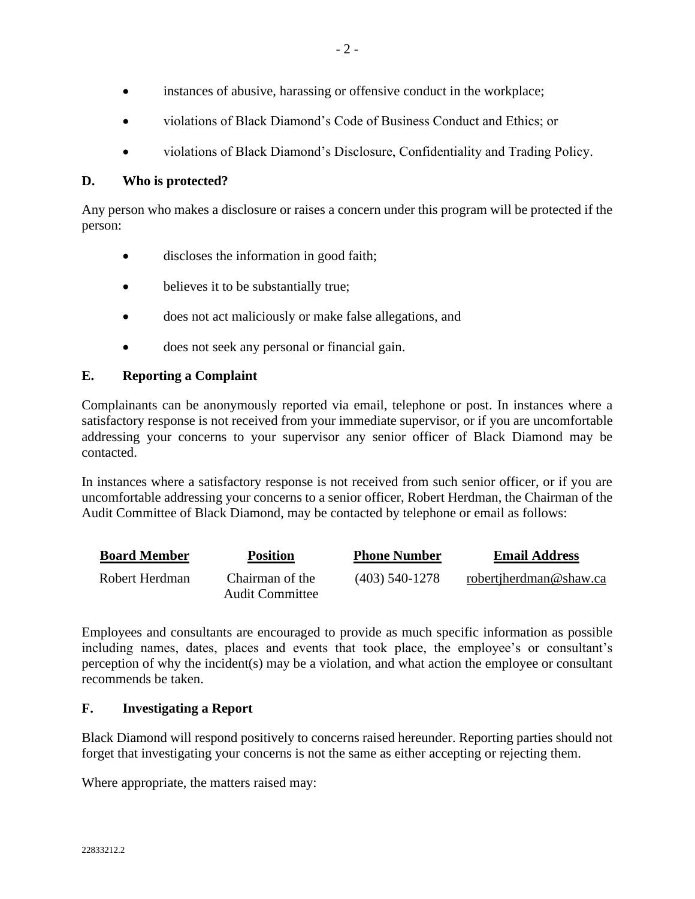- violations of Black Diamond's Code of Business Conduct and Ethics; or
- violations of Black Diamond's Disclosure, Confidentiality and Trading Policy.

## **D. Who is protected?**

Any person who makes a disclosure or raises a concern under this program will be protected if the person:

- discloses the information in good faith;
- believes it to be substantially true;
- does not act maliciously or make false allegations, and
- does not seek any personal or financial gain.

# **E. Reporting a Complaint**

Complainants can be anonymously reported via email, telephone or post. In instances where a satisfactory response is not received from your immediate supervisor, or if you are uncomfortable addressing your concerns to your supervisor any senior officer of Black Diamond may be contacted.

In instances where a satisfactory response is not received from such senior officer, or if you are uncomfortable addressing your concerns to a senior officer, Robert Herdman, the Chairman of the Audit Committee of Black Diamond, may be contacted by telephone or email as follows:

| <b>Board Member</b> | <b>Position</b>                           | <b>Phone Number</b> | <b>Email Address</b>   |
|---------------------|-------------------------------------------|---------------------|------------------------|
| Robert Herdman      | Chairman of the<br><b>Audit Committee</b> | $(403)$ 540-1278    | robertjherdman@shaw.ca |

Employees and consultants are encouraged to provide as much specific information as possible including names, dates, places and events that took place, the employee's or consultant's perception of why the incident(s) may be a violation, and what action the employee or consultant recommends be taken.

# **F. Investigating a Report**

Black Diamond will respond positively to concerns raised hereunder. Reporting parties should not forget that investigating your concerns is not the same as either accepting or rejecting them.

Where appropriate, the matters raised may: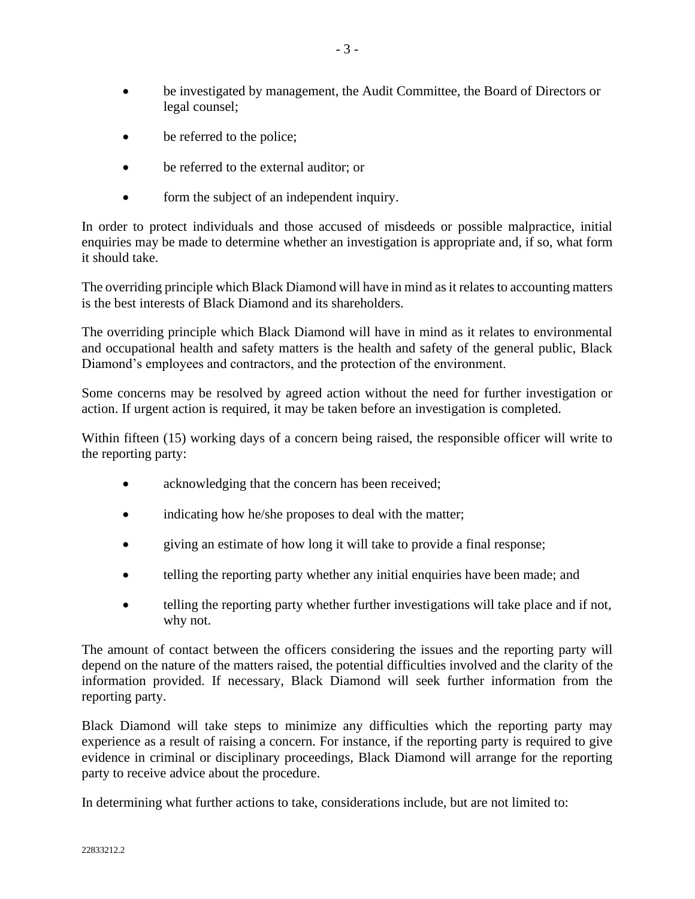- be investigated by management, the Audit Committee, the Board of Directors or legal counsel;
- be referred to the police;
- be referred to the external auditor; or
- form the subject of an independent inquiry.

In order to protect individuals and those accused of misdeeds or possible malpractice, initial enquiries may be made to determine whether an investigation is appropriate and, if so, what form it should take.

The overriding principle which Black Diamond will have in mind as it relates to accounting matters is the best interests of Black Diamond and its shareholders.

The overriding principle which Black Diamond will have in mind as it relates to environmental and occupational health and safety matters is the health and safety of the general public, Black Diamond's employees and contractors, and the protection of the environment.

Some concerns may be resolved by agreed action without the need for further investigation or action. If urgent action is required, it may be taken before an investigation is completed.

Within fifteen (15) working days of a concern being raised, the responsible officer will write to the reporting party:

- acknowledging that the concern has been received;
- indicating how he/she proposes to deal with the matter;
- giving an estimate of how long it will take to provide a final response;
- telling the reporting party whether any initial enquiries have been made; and
- telling the reporting party whether further investigations will take place and if not, why not.

The amount of contact between the officers considering the issues and the reporting party will depend on the nature of the matters raised, the potential difficulties involved and the clarity of the information provided. If necessary, Black Diamond will seek further information from the reporting party.

Black Diamond will take steps to minimize any difficulties which the reporting party may experience as a result of raising a concern. For instance, if the reporting party is required to give evidence in criminal or disciplinary proceedings, Black Diamond will arrange for the reporting party to receive advice about the procedure.

In determining what further actions to take, considerations include, but are not limited to: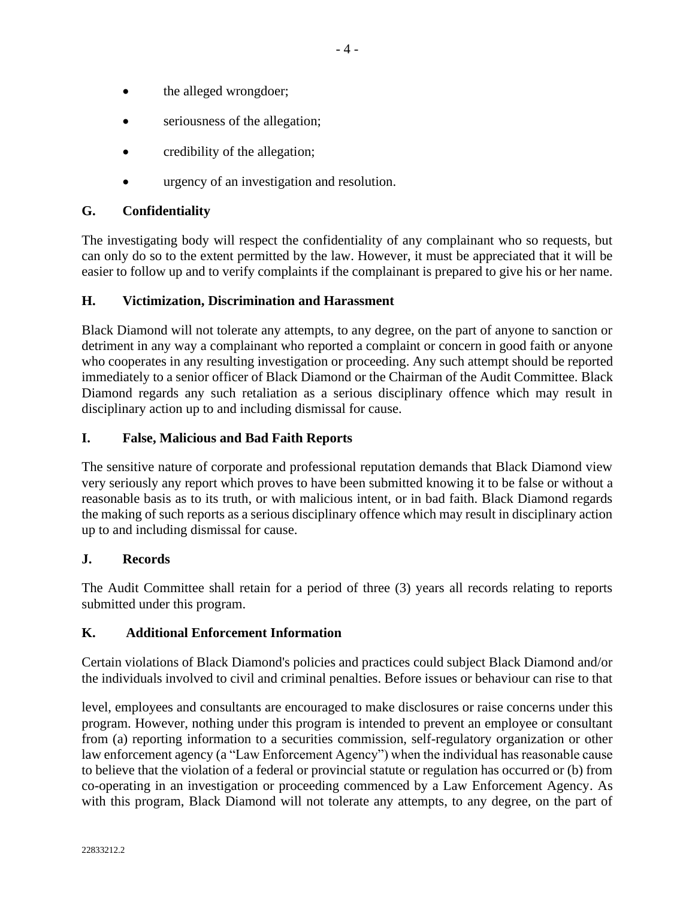- the alleged wrongdoer;
- seriousness of the allegation;
- credibility of the allegation;
- urgency of an investigation and resolution.

## **G. Confidentiality**

The investigating body will respect the confidentiality of any complainant who so requests, but can only do so to the extent permitted by the law. However, it must be appreciated that it will be easier to follow up and to verify complaints if the complainant is prepared to give his or her name.

### **H. Victimization, Discrimination and Harassment**

Black Diamond will not tolerate any attempts, to any degree, on the part of anyone to sanction or detriment in any way a complainant who reported a complaint or concern in good faith or anyone who cooperates in any resulting investigation or proceeding. Any such attempt should be reported immediately to a senior officer of Black Diamond or the Chairman of the Audit Committee. Black Diamond regards any such retaliation as a serious disciplinary offence which may result in disciplinary action up to and including dismissal for cause.

### **I. False, Malicious and Bad Faith Reports**

The sensitive nature of corporate and professional reputation demands that Black Diamond view very seriously any report which proves to have been submitted knowing it to be false or without a reasonable basis as to its truth, or with malicious intent, or in bad faith. Black Diamond regards the making of such reports as a serious disciplinary offence which may result in disciplinary action up to and including dismissal for cause.

### **J. Records**

The Audit Committee shall retain for a period of three (3) years all records relating to reports submitted under this program.

### **K. Additional Enforcement Information**

Certain violations of Black Diamond's policies and practices could subject Black Diamond and/or the individuals involved to civil and criminal penalties. Before issues or behaviour can rise to that

level, employees and consultants are encouraged to make disclosures or raise concerns under this program. However, nothing under this program is intended to prevent an employee or consultant from (a) reporting information to a securities commission, self-regulatory organization or other law enforcement agency (a "Law Enforcement Agency") when the individual has reasonable cause to believe that the violation of a federal or provincial statute or regulation has occurred or (b) from co-operating in an investigation or proceeding commenced by a Law Enforcement Agency. As with this program, Black Diamond will not tolerate any attempts, to any degree, on the part of